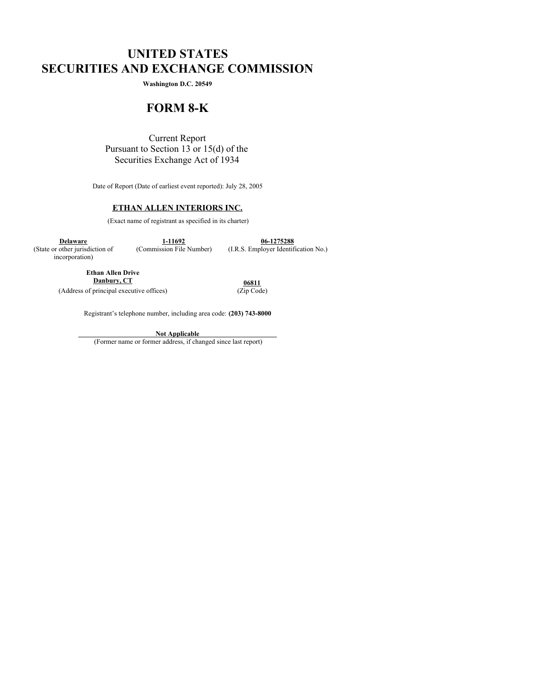# **UNITED STATES SECURITIES AND EXCHANGE COMMISSION**

**Washington D.C. 20549**

# **FORM 8-K**

Current Report Pursuant to Section 13 or 15(d) of the Securities Exchange Act of 1934

Date of Report (Date of earliest event reported): July 28, 2005

# **ETHAN ALLEN INTERIORS INC.**

(Exact name of registrant as specified in its charter)

**Delaware 1-11692 06-1275288** (State or other jurisdiction of (Commission File Number) (I.R.S. Employer Identification No.)

incorporation)

**Ethan Allen Drive**

**Danbury, CT**<br>
principal executive offices) (*Zip* Code) (Address of principal executive offices)

Registrant's telephone number, including area code: **(203) 743-8000**

**Not Applicable**

(Former name or former address, if changed since last report)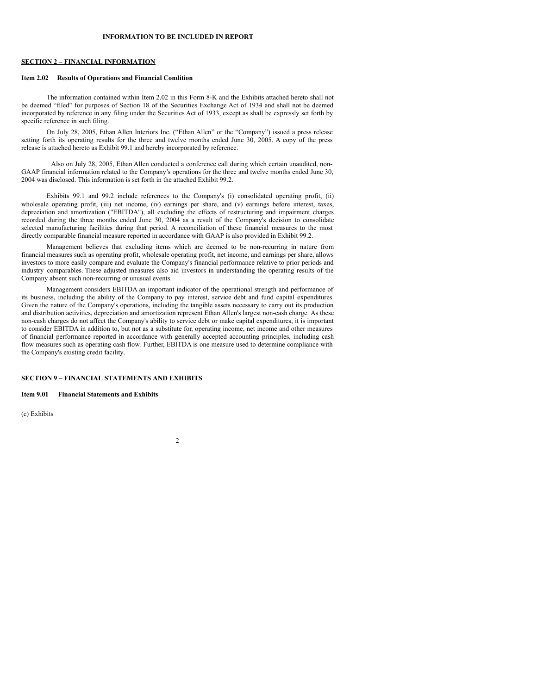## **SECTION 2 – FINANCIAL INFORMATION**

#### **Item 2.02 Results of Operations and Financial Condition**

The information contained within Item 2.02 in this Form 8-K and the Exhibits attached hereto shall not be deemed "filed" for purposes of Section 18 of the Securities Exchange Act of 1934 and shall not be deemed incorporated by reference in any filing under the Securities Act of 1933, except as shall be expressly set forth by specific reference in such filing.

On July 28, 2005, Ethan Allen Interiors Inc. ("Ethan Allen" or the "Company") issued a press release setting forth its operating results for the three and twelve months ended June 30, 2005. A copy of the press release is attached hereto as Exhibit 99.1 and hereby incorporated by reference.

Also on July 28, 2005, Ethan Allen conducted a conference call during which certain unaudited, non-GAAP financial information related to the Company's operations for the three and twelve months ended June 30, 2004 was disclosed. This information is set forth in the attached Exhibit 99.2.

Exhibits 99.1 and 99.2 include references to the Company's (i) consolidated operating profit, (ii) wholesale operating profit, (iii) net income, (iv) earnings per share, and (v) earnings before interest, taxes, depreciation and amortization ("EBITDA"), all excluding the effects of restructuring and impairment charges recorded during the three months ended June 30, 2004 as a result of the Company's decision to consolidate selected manufacturing facilities during that period. A reconciliation of these financial measures to the most directly comparable financial measure reported in accordance with GAAP is also provided in Exhibit 99.2.

Management believes that excluding items which are deemed to be non-recurring in nature from financial measures such as operating profit, wholesale operating profit, net income, and earnings per share, allows investors to more easily compare and evaluate the Company's financial performance relative to prior periods and industry comparables. These adjusted measures also aid investors in understanding the operating results of the Company absent such non-recurring or unusual events.

Management considers EBITDA an important indicator of the operational strength and performance of its business, including the ability of the Company to pay interest, service debt and fund capital expenditures. Given the nature of the Company's operations, including the tangible assets necessary to carry out its production and distribution activities, depreciation and amortization represent Ethan Allen's largest non-cash charge. As these non-cash charges do not affect the Company's ability to service debt or make capital expenditures, it is important to consider EBITDA in addition to, but not as a substitute for, operating income, net income and other measures of financial performance reported in accordance with generally accepted accounting principles, including cash flow measures such as operating cash flow. Further, EBITDA is one measure used to determine compliance with the Company's existing credit facility.

 $\overline{2}$ 

### **SECTION 9 – FINANCIAL STATEMENTS AND EXHIBITS**

#### **Item 9.01 Financial Statements and Exhibits**

(c) Exhibits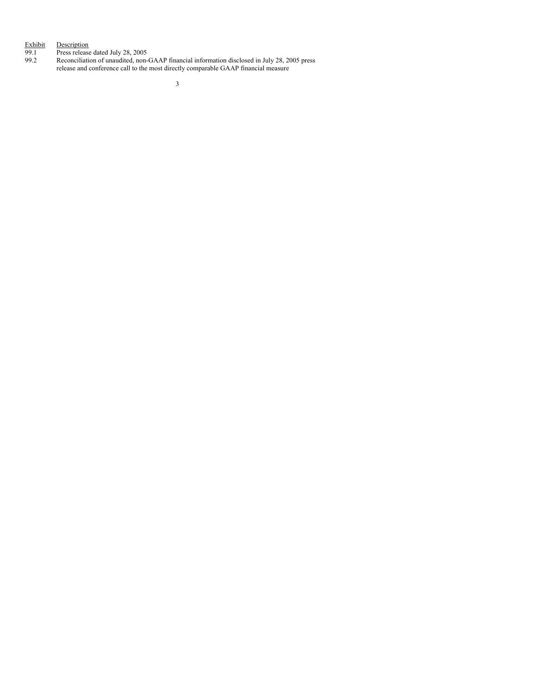#### Exhibit Description

99.1 Press release dated July 28, 2005

99.2 Reconciliation of unaudited, non-GAAP financial information disclosed in July 28, 2005 press release and conference call to the most directly comparable GAAP financial measure

3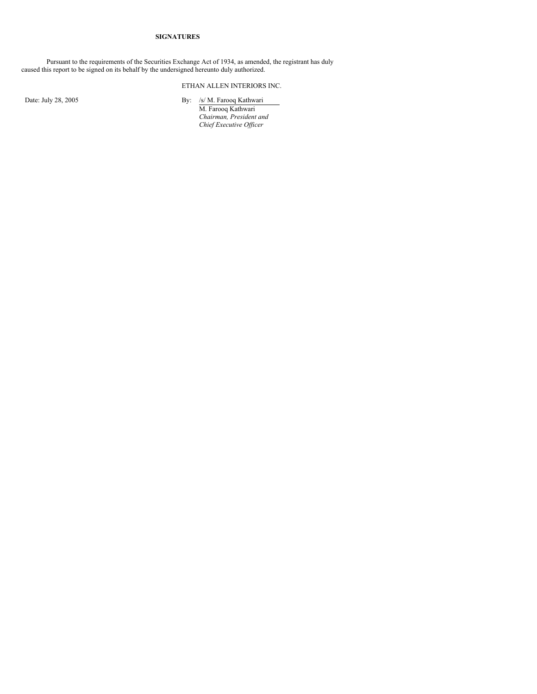## **SIGNATURES**

Pursuant to the requirements of the Securities Exchange Act of 1934, as amended, the registrant has duly caused this report to be signed on its behalf by the undersigned hereunto duly authorized.

# ETHAN ALLEN INTERIORS INC.

Date: July 28, 2005 By: /s/ M. Farooq Kathwari M. Farooq Kathwari *Chairman, President and Chief Executive Of icer*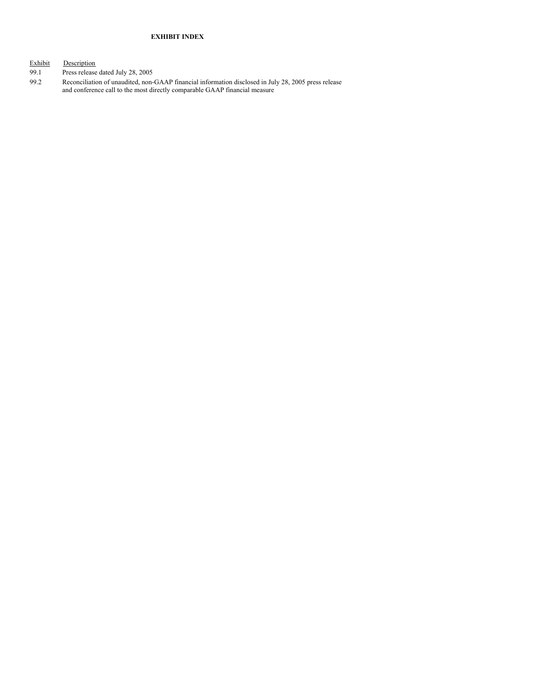## **EXHIBIT INDEX**

Exhibit Description

- 99.1 Press release dated July 28, 2005<br>99.2 Reconciliation of unaudited, non-
- 99.2 Reconciliation of unaudited, non-GAAP financial information disclosed in July 28, 2005 press release and conference call to the most directly comparable GAAP financial measure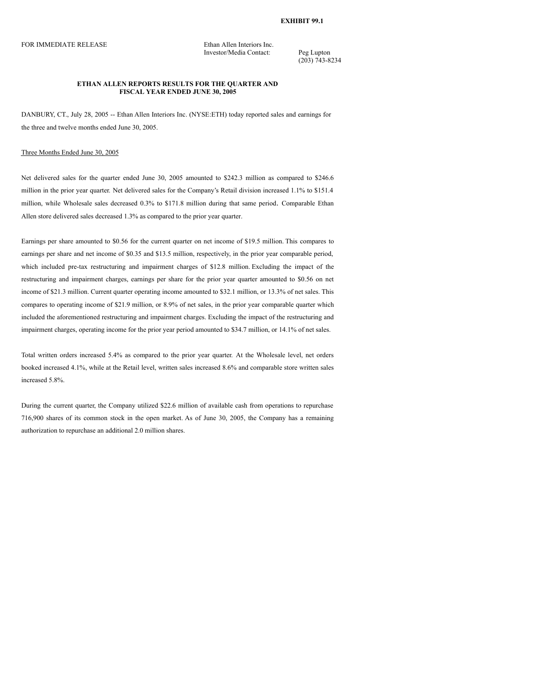#### **EXHIBIT 99.1**

FOR IMMEDIATE RELEASE Ethan Allen Interiors Inc.

Investor/Media Contact: Peg Lupton

(203) 743-8234

## **ETHAN ALLEN REPORTS RESULTS FOR THE QUARTER AND FISCAL YEAR ENDED JUNE 30, 2005**

DANBURY, CT., July 28, 2005 -- Ethan Allen Interiors Inc. (NYSE:ETH) today reported sales and earnings for the three and twelve months ended June 30, 2005.

#### Three Months Ended June 30, 2005

Net delivered sales for the quarter ended June 30, 2005 amounted to \$242.3 million as compared to \$246.6 million in the prior year quarter. Net delivered sales for the Company's Retail division increased 1.1% to \$151.4 million, while Wholesale sales decreased 0.3% to \$171.8 million during that same period. Comparable Ethan Allen store delivered sales decreased 1.3% as compared to the prior year quarter.

Earnings per share amounted to \$0.56 for the current quarter on net income of \$19.5 million. This compares to earnings per share and net income of \$0.35 and \$13.5 million, respectively, in the prior year comparable period, which included pre-tax restructuring and impairment charges of \$12.8 million. Excluding the impact of the restructuring and impairment charges, earnings per share for the prior year quarter amounted to \$0.56 on net income of \$21.3 million. Current quarter operating income amounted to \$32.1 million, or 13.3% of net sales. This compares to operating income of \$21.9 million, or 8.9% of net sales, in the prior year comparable quarter which included the aforementioned restructuring and impairment charges. Excluding the impact of the restructuring and impairment charges, operating income for the prior year period amounted to \$34.7 million, or 14.1% of net sales.

Total written orders increased 5.4% as compared to the prior year quarter. At the Wholesale level, net orders booked increased 4.1%, while at the Retail level, written sales increased 8.6% and comparable store written sales increased 5.8%.

During the current quarter, the Company utilized \$22.6 million of available cash from operations to repurchase 716,900 shares of its common stock in the open market. As of June 30, 2005, the Company has a remaining authorization to repurchase an additional 2.0 million shares.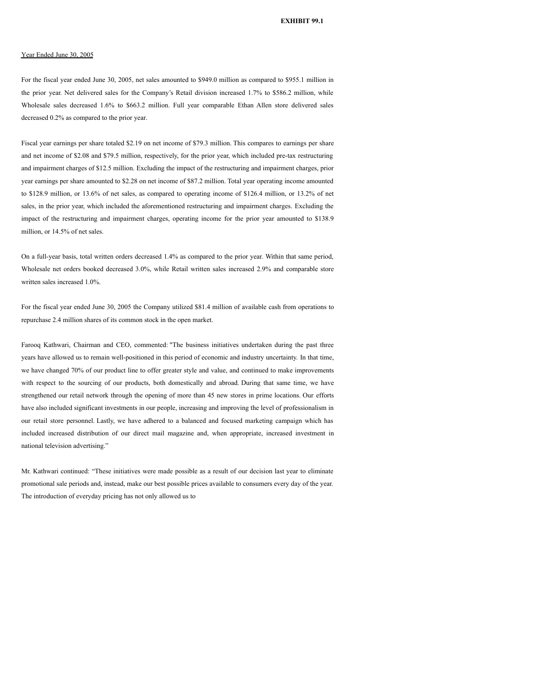#### Year Ended June 30, 2005

For the fiscal year ended June 30, 2005, net sales amounted to \$949.0 million as compared to \$955.1 million in the prior year. Net delivered sales for the Company's Retail division increased 1.7% to \$586.2 million, while Wholesale sales decreased 1.6% to \$663.2 million. Full year comparable Ethan Allen store delivered sales decreased 0.2% as compared to the prior year.

Fiscal year earnings per share totaled \$2.19 on net income of \$79.3 million. This compares to earnings per share and net income of \$2.08 and \$79.5 million, respectively, for the prior year, which included pre-tax restructuring and impairment charges of \$12.5 million. Excluding the impact of the restructuring and impairment charges, prior year earnings per share amounted to \$2.28 on net income of \$87.2 million. Total year operating income amounted to \$128.9 million, or 13.6% of net sales, as compared to operating income of \$126.4 million, or 13.2% of net sales, in the prior year, which included the aforementioned restructuring and impairment charges. Excluding the impact of the restructuring and impairment charges, operating income for the prior year amounted to \$138.9 million, or 14.5% of net sales.

On a full-year basis, total written orders decreased 1.4% as compared to the prior year. Within that same period, Wholesale net orders booked decreased 3.0%, while Retail written sales increased 2.9% and comparable store written sales increased 1.0%.

For the fiscal year ended June 30, 2005 the Company utilized \$81.4 million of available cash from operations to repurchase 2.4 million shares of its common stock in the open market.

Farooq Kathwari, Chairman and CEO, commented: "The business initiatives undertaken during the past three years have allowed us to remain well-positioned in this period of economic and industry uncertainty. In that time, we have changed 70% of our product line to offer greater style and value, and continued to make improvements with respect to the sourcing of our products, both domestically and abroad. During that same time, we have strengthened our retail network through the opening of more than 45 new stores in prime locations. Our efforts have also included significant investments in our people, increasing and improving the level of professionalism in our retail store personnel. Lastly, we have adhered to a balanced and focused marketing campaign which has included increased distribution of our direct mail magazine and, when appropriate, increased investment in national television advertising."

Mr. Kathwari continued: "These initiatives were made possible as a result of our decision last year to eliminate promotional sale periods and, instead, make our best possible prices available to consumers every day of the year. The introduction of everyday pricing has not only allowed us to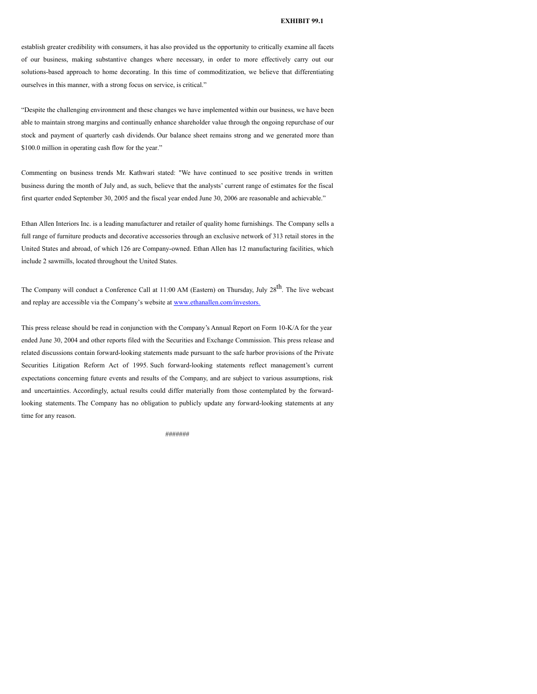### **EXHIBIT 99.1**

establish greater credibility with consumers, it has also provided us the opportunity to critically examine all facets of our business, making substantive changes where necessary, in order to more effectively carry out our solutions-based approach to home decorating. In this time of commoditization, we believe that differentiating ourselves in this manner, with a strong focus on service, is critical."

"Despite the challenging environment and these changes we have implemented within our business, we have been able to maintain strong margins and continually enhance shareholder value through the ongoing repurchase of our stock and payment of quarterly cash dividends. Our balance sheet remains strong and we generated more than \$100.0 million in operating cash flow for the year."

Commenting on business trends Mr. Kathwari stated: "We have continued to see positive trends in written business during the month of July and, as such, believe that the analysts' current range of estimates for the fiscal first quarter ended September 30, 2005 and the fiscal year ended June 30, 2006 are reasonable and achievable."

Ethan Allen Interiors Inc. is a leading manufacturer and retailer of quality home furnishings. The Company sells a full range of furniture products and decorative accessories through an exclusive network of 313 retail stores in the United States and abroad, of which 126 are Company-owned. Ethan Allen has 12 manufacturing facilities, which include 2 sawmills, located throughout the United States.

The Company will conduct a Conference Call at 11:00 AM (Eastern) on Thursday, July 28<sup>th</sup>. The live webcast and replay are accessible via the Company's website at www.ethanallen.com/investors.

This press release should be read in conjunction with the Company's Annual Report on Form 10-K/A for the year ended June 30, 2004 and other reports filed with the Securities and Exchange Commission. This press release and related discussions contain forward-looking statements made pursuant to the safe harbor provisions of the Private Securities Litigation Reform Act of 1995. Such forward-looking statements reflect management's current expectations concerning future events and results of the Company, and are subject to various assumptions, risk and uncertainties. Accordingly, actual results could differ materially from those contemplated by the forwardlooking statements. The Company has no obligation to publicly update any forward-looking statements at any time for any reason.

#######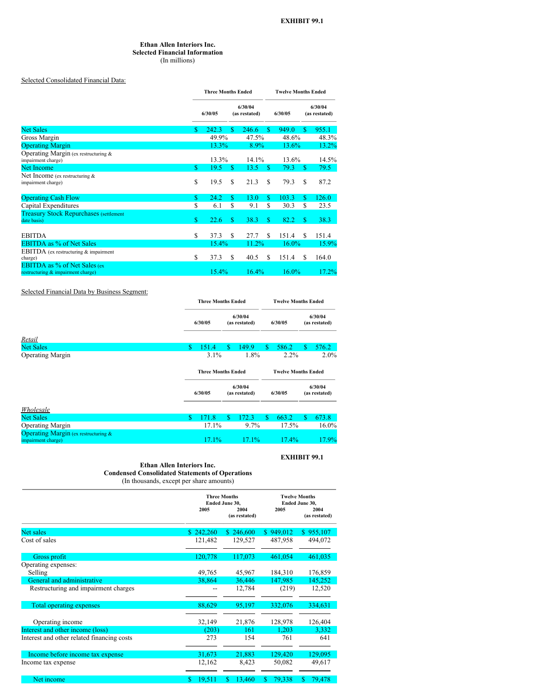#### **Ethan Allen Interiors Inc. Selected Financial Information** (In millions)

Selected Consolidated Financial Data:

|                                                                           |    | <b>Three Months Ended</b> |                |                          |    |          | <b>Twelve Months Ended</b> |                          |  |  |  |
|---------------------------------------------------------------------------|----|---------------------------|----------------|--------------------------|----|----------|----------------------------|--------------------------|--|--|--|
|                                                                           |    | 6/30/05                   |                | 6/30/04<br>(as restated) |    | 6/30/05  |                            | 6/30/04<br>(as restated) |  |  |  |
| <b>Net Sales</b>                                                          |    | 242.3                     | \$.            | 246.6                    | S. | 949.0    | <b>S</b>                   | 955.1                    |  |  |  |
| Gross Margin                                                              |    | 49.9%                     |                | 47.5%                    |    | 48.6%    |                            | 48.3%                    |  |  |  |
| <b>Operating Margin</b>                                                   |    | 13.3%                     |                | 8.9%                     |    | 13.6%    |                            | 13.2%                    |  |  |  |
| Operating Margin (ex restructuring &<br>impairment charge)                |    |                           | 13.3%<br>14.1% |                          |    | 13.6%    |                            | 14.5%                    |  |  |  |
| <b>Net Income</b>                                                         | \$ | 19.5                      | -S             | 13.5                     | S  | 79.3     | <sup>S</sup>               | 79.5                     |  |  |  |
| Net Income (ex restructuring &<br>impairment charge)                      | \$ | 19.5                      | S              | 21.3                     | S  | 79.3     | S                          | 87.2                     |  |  |  |
| <b>Operating Cash Flow</b>                                                | S. | 24.2                      | \$             | 13.0                     | \$ | 103.3    | \$                         | 126.0                    |  |  |  |
| Capital Expenditures                                                      | \$ | 6.1                       | \$             | 9.1                      | S  | 30.3     | \$                         | 23.5                     |  |  |  |
| <b>Treasury Stock Repurchases (settlement)</b><br>date basis)             | S. | 22.6                      | S              | 38.3                     | S  | 82.2     | <sup>\$</sup>              | 38.3                     |  |  |  |
| <b>EBITDA</b>                                                             | S  | 37.3                      | S              | 27.7                     | S  | 151.4    | S                          | 151.4                    |  |  |  |
| <b>EBITDA</b> as % of Net Sales                                           |    | 15.4%                     |                | 11.2%                    |    | 16.0%    |                            | 15.9%                    |  |  |  |
| <b>EBITDA</b> (ex restructuring & impairment)<br>charge)                  | \$ | 37.3                      | \$             | 40.5                     | S  | 151.4    | S                          | 164.0                    |  |  |  |
| <b>EBITDA</b> as % of Net Sales (ex<br>restructuring & impairment charge) |    | 15.4%                     |                | 16.4%                    |    | $16.0\%$ |                            | 17.2%                    |  |  |  |

## Selected Financial Data by Business Segment:

|                                                                   |               | <b>Three Months Ended</b> |    |                          |       |         | <b>Twelve Months Ended</b> |                          |  |  |  |  |
|-------------------------------------------------------------------|---------------|---------------------------|----|--------------------------|-------|---------|----------------------------|--------------------------|--|--|--|--|
|                                                                   |               | 6/30/05                   |    |                          |       | 6/30/05 | 6/30/04<br>(as restated)   |                          |  |  |  |  |
| Retail                                                            |               |                           |    |                          |       |         |                            |                          |  |  |  |  |
| <b>Net Sales</b>                                                  | \$            | 151.4                     | \$ | 149.9                    | S     | 586.2   | S                          | 576.2                    |  |  |  |  |
| <b>Operating Margin</b>                                           |               | $3.1\%$                   |    | 1.8%                     |       | $2.2\%$ |                            | $2.0\%$                  |  |  |  |  |
|                                                                   |               | <b>Three Months Ended</b> |    |                          |       |         | <b>Twelve Months Ended</b> |                          |  |  |  |  |
|                                                                   |               | 6/30/05                   |    | 6/30/04<br>(as restated) |       | 6/30/05 |                            | 6/30/04<br>(as restated) |  |  |  |  |
| Wholesale                                                         |               |                           |    |                          |       |         |                            |                          |  |  |  |  |
| <b>Net Sales</b>                                                  | <sup>\$</sup> | 171.8                     | \$ | 172.3                    | S     | 663.2   | S                          | 673.8                    |  |  |  |  |
| <b>Operating Margin</b>                                           |               | 17.1%                     |    | $9.7\%$                  |       | 17.5%   |                            | 16.0%                    |  |  |  |  |
| <b>Operating Margin</b> (ex restructuring &<br>impairment charge) |               | $17.1\%$                  |    | $17.1\%$                 | 17.4% |         | 17.9%                      |                          |  |  |  |  |

## **EXHIBIT 99.1**

## **Ethan Allen Interiors Inc. Condensed Consolidated Statements of Operations** (In thousands, except per share amounts)

|                                            | 2005         | <b>Three Months</b><br>Ended June 30,<br>2004<br>(as restated) | 2005        | <b>Twelve Months</b><br>Ended June 30,<br>2004<br>(as restated) |  |  |
|--------------------------------------------|--------------|----------------------------------------------------------------|-------------|-----------------------------------------------------------------|--|--|
| Net sales                                  | \$242,260    | \$246,600                                                      | \$949,012   | \$955,107                                                       |  |  |
| Cost of sales                              | 121,482      | 129,527                                                        | 487,958     | 494,072                                                         |  |  |
| Gross profit                               | 120,778      | 117,073                                                        | 461,054     | 461,035                                                         |  |  |
| Operating expenses:                        |              |                                                                |             |                                                                 |  |  |
| Selling                                    | 49,765       | 45,967                                                         | 184,310     | 176,859                                                         |  |  |
| General and administrative                 | 38,864       | 36,446                                                         | 147,985     | 145,252                                                         |  |  |
| Restructuring and impairment charges       |              | 12,784                                                         | (219)       | 12,520                                                          |  |  |
| Total operating expenses                   | 88,629       | 95,197                                                         | 332,076     | 334,631                                                         |  |  |
|                                            |              |                                                                |             |                                                                 |  |  |
| Operating income                           | 32,149       | 21,876                                                         | 128,978     | 126,404                                                         |  |  |
| Interest and other income (loss)           | (203)        | 161                                                            | 1,203       | 3,332                                                           |  |  |
| Interest and other related financing costs | 273          | 154                                                            | 761         | 641                                                             |  |  |
| Income before income tax expense           | 31,673       | 21,883                                                         | 129,420     | 129,095                                                         |  |  |
| Income tax expense                         | 12,162       | 8,423                                                          | 50,082      | 49,617                                                          |  |  |
| Net income                                 | 19,511<br>S. | 13,460<br>S                                                    | 79,338<br>S | \$<br>79,478                                                    |  |  |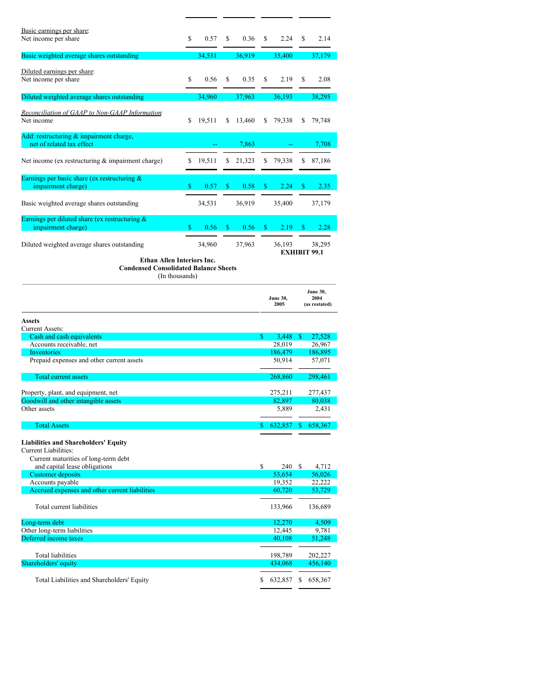| Basic earnings per share:                                                  |    |        |    |        |    |                   |    |                     |
|----------------------------------------------------------------------------|----|--------|----|--------|----|-------------------|----|---------------------|
| Net income per share                                                       | \$ | 0.57   | \$ | 0.36   | \$ | 2.24              | \$ | 2.14                |
| Basic weighted average shares outstanding                                  |    | 34,531 |    | 36,919 |    | 35,400            |    | 37,179              |
|                                                                            |    |        |    |        |    |                   |    |                     |
| Diluted earnings per share:                                                |    |        |    |        |    |                   |    |                     |
| Net income per share                                                       | \$ | 0.56   | \$ | 0.35   | \$ | 2.19              | S  | 2.08                |
| Diluted weighted average shares outstanding                                |    | 34,960 |    | 37,963 |    | 36,193            |    | 38,295              |
| Reconciliation of GAAP to Non-GAAP Information:                            |    |        |    |        |    |                   |    |                     |
| Net income                                                                 | S  | 19,511 | S  | 13,460 | S  | 79,338            | S  | 79,748              |
| Add: restructuring & impairment charge,                                    |    |        |    |        |    |                   |    |                     |
| net of related tax effect                                                  |    |        |    | 7,863  |    |                   |    | 7,708               |
|                                                                            |    |        |    |        |    |                   |    |                     |
| Net income (ex restructuring $\&$ impairment charge)                       | \$ | 19,511 | \$ | 21,323 | \$ | 79,338            | \$ | 87,186              |
| Earnings per basic share (ex restructuring $\&$                            |    |        |    |        |    |                   |    |                     |
| impairment charge)                                                         | \$ | 0.57   | \$ | 0.58   | \$ | 2.24              | \$ | 2.35                |
| Basic weighted average shares outstanding                                  |    | 34,531 |    | 36,919 |    | 35,400            |    | 37,179              |
|                                                                            |    |        |    |        |    |                   |    |                     |
| Earnings per diluted share (ex restructuring $&$                           | \$ | 0.56   | S  |        | \$ |                   | \$ | 2.28                |
| impairment charge)                                                         |    |        |    | 0.56   |    | 2.19              |    |                     |
| Diluted weighted average shares outstanding                                |    | 34,960 |    | 37,963 |    | 36,193            |    | 38,295              |
|                                                                            |    |        |    |        |    |                   |    | <b>EXHIBIT 99.1</b> |
| Ethan Allen Interiors Inc.<br><b>Condensed Consolidated Balance Sheets</b> |    |        |    |        |    |                   |    |                     |
| (In thousands)                                                             |    |        |    |        |    |                   |    |                     |
|                                                                            |    |        |    |        |    |                   |    | June 30,            |
|                                                                            |    |        |    |        |    | <b>June 30,</b>   |    | 2004                |
|                                                                            |    |        |    |        |    | 2005              |    | (as restated)       |
| Assets                                                                     |    |        |    |        |    |                   |    |                     |
| <b>Current Assets:</b><br>Cash and cash equivalents                        |    |        |    |        | \$ | 3,448             | S  | 27,528              |
| Accounts receivable, net                                                   |    |        |    |        |    | 28,019            |    | 26,967              |
| Inventories                                                                |    |        |    |        |    | 186,479<br>50,914 |    | 186,895<br>57,071   |
| Prepaid expenses and other current assets                                  |    |        |    |        |    |                   |    |                     |
| Total current assets                                                       |    |        |    |        |    | 268,860           |    | 298,461             |
| Property, plant, and equipment, net                                        |    |        |    |        |    |                   |    |                     |
| Goodwill and other intangible assets                                       |    |        |    |        |    |                   |    |                     |
| Other assets                                                               |    |        |    |        |    | 275,211<br>82,897 |    | 277,437<br>80,038   |
| <b>Total Assets</b>                                                        |    |        |    |        |    | 5,889             |    | 2,431               |
|                                                                            |    |        |    |        |    |                   |    |                     |
|                                                                            |    |        |    |        | \$ | 632,857           | S. | 658,367             |
| <b>Liabilities and Shareholders' Equity</b>                                |    |        |    |        |    |                   |    |                     |
| <b>Current Liabilities:</b>                                                |    |        |    |        |    |                   |    |                     |
| Current maturities of long-term debt<br>and capital lease obligations      |    |        |    |        | \$ | 240               | S  | 4,712               |
| <b>Customer</b> deposits                                                   |    |        |    |        |    | 53,654            |    | 56,026              |
| Accounts payable<br>Accrued expenses and other current liabilities         |    |        |    |        |    | 19,352<br>60,720  |    | 22,222<br>53,729    |
|                                                                            |    |        |    |        |    |                   |    |                     |
| Total current liabilities                                                  |    |        |    |        |    | 133,966           |    | 136,689             |
| Long-term debt                                                             |    |        |    |        |    | 12,270            |    | 4,509               |
| Other long-term liabilities                                                |    |        |    |        |    | 12,445            |    | 9,781               |
| Deferred income taxes                                                      |    |        |    |        |    | 40,108            |    | 51,248              |
| Total liabilities                                                          |    |        |    |        |    | 198,789           |    | 202,227             |
| Shareholders' equity                                                       |    |        |    |        |    | 434,068           |    | 456,140             |
| Total Liabilities and Shareholders' Equity                                 |    |        |    |        | \$ | 632,857           | S  | 658,367             |